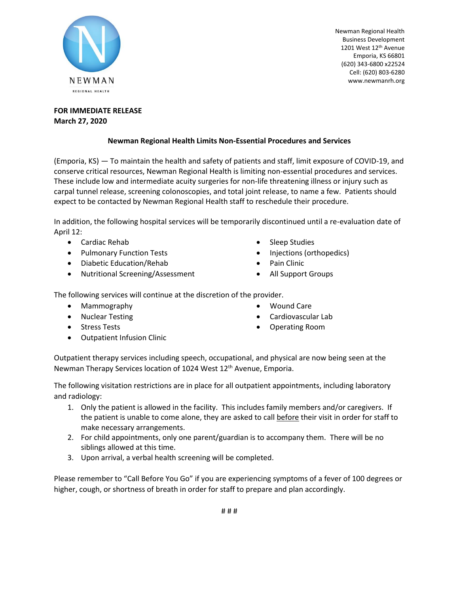

Newman Regional Health Business Development 1201 West 12<sup>th</sup> Avenue Emporia, KS 66801 (620) 343-6800 x22524 Cell: (620) 803-6280 www.newmanrh.org

## **FOR IMMEDIATE RELEASE March 27, 2020**

## **Newman Regional Health Limits Non-Essential Procedures and Services**

(Emporia, KS) — To maintain the health and safety of patients and staff, limit exposure of COVID-19, and conserve critical resources, Newman Regional Health is limiting non-essential procedures and services. These include low and intermediate acuity surgeries for non-life threatening illness or injury such as carpal tunnel release, screening colonoscopies, and total joint release, to name a few. Patients should expect to be contacted by Newman Regional Health staff to reschedule their procedure.

In addition, the following hospital services will be temporarily discontinued until a re-evaluation date of April 12:

- Cardiac Rehab
- Pulmonary Function Tests
- Diabetic Education/Rehab
- Nutritional Screening/Assessment
- Sleep Studies
- Injections (orthopedics)
- Pain Clinic
- All Support Groups

The following services will continue at the discretion of the provider.

- Mammography
- Nuclear Testing
- Stress Tests
- Outpatient Infusion Clinic
- Wound Care
- Cardiovascular Lab
- Operating Room

Outpatient therapy services including speech, occupational, and physical are now being seen at the Newman Therapy Services location of 1024 West 12<sup>th</sup> Avenue, Emporia.

The following visitation restrictions are in place for all outpatient appointments, including laboratory and radiology:

- 1. Only the patient is allowed in the facility. This includes family members and/or caregivers. If the patient is unable to come alone, they are asked to call before their visit in order for staff to make necessary arrangements.
- 2. For child appointments, only one parent/guardian is to accompany them. There will be no siblings allowed at this time.
- 3. Upon arrival, a verbal health screening will be completed.

Please remember to "Call Before You Go" if you are experiencing symptoms of a fever of 100 degrees or higher, cough, or shortness of breath in order for staff to prepare and plan accordingly.